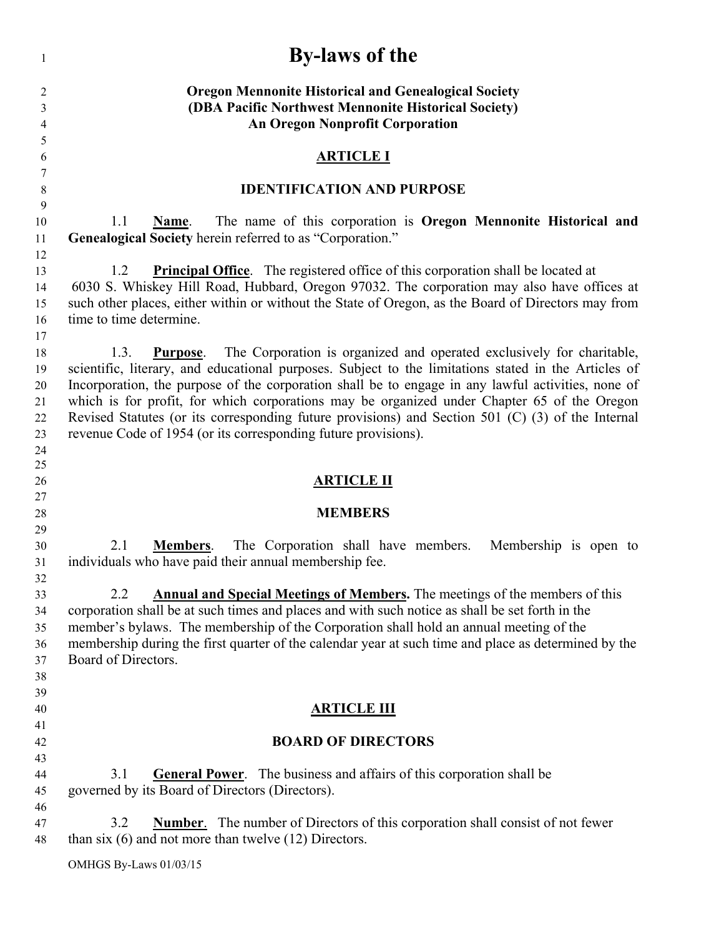| 1              | <b>By-laws of the</b>                                                                                                                                                                             |
|----------------|---------------------------------------------------------------------------------------------------------------------------------------------------------------------------------------------------|
| 2<br>3<br>4    | <b>Oregon Mennonite Historical and Genealogical Society</b><br>(DBA Pacific Northwest Mennonite Historical Society)<br><b>An Oregon Nonprofit Corporation</b>                                     |
| 5              |                                                                                                                                                                                                   |
| 6<br>7         | <u>ARTICLE I</u>                                                                                                                                                                                  |
| $\,8\,$        | <b>IDENTIFICATION AND PURPOSE</b>                                                                                                                                                                 |
| 9              |                                                                                                                                                                                                   |
| 10<br>11       | 1.1<br>The name of this corporation is Oregon Mennonite Historical and<br>Name.<br>Genealogical Society herein referred to as "Corporation."                                                      |
| 12             |                                                                                                                                                                                                   |
| 13<br>14       | <b>Principal Office.</b> The registered office of this corporation shall be located at<br>1.2<br>6030 S. Whiskey Hill Road, Hubbard, Oregon 97032. The corporation may also have offices at       |
| 15<br>16       | such other places, either within or without the State of Oregon, as the Board of Directors may from<br>time to time determine.                                                                    |
| 17<br>18<br>19 | The Corporation is organized and operated exclusively for charitable,<br>1.3.<br>Purpose.<br>scientific, literary, and educational purposes. Subject to the limitations stated in the Articles of |
| 20<br>21       | Incorporation, the purpose of the corporation shall be to engage in any lawful activities, none of<br>which is for profit, for which corporations may be organized under Chapter 65 of the Oregon |
| 22             | Revised Statutes (or its corresponding future provisions) and Section 501 (C) (3) of the Internal                                                                                                 |
| 23             | revenue Code of 1954 (or its corresponding future provisions).                                                                                                                                    |
| 24             |                                                                                                                                                                                                   |
| 25             |                                                                                                                                                                                                   |
| 26             | <b>ARTICLE II</b>                                                                                                                                                                                 |
| 27<br>28       | <b>MEMBERS</b>                                                                                                                                                                                    |
| 29             |                                                                                                                                                                                                   |
| 30             | 2.1<br>The Corporation shall have members.<br><b>Members.</b><br>Membership is open to                                                                                                            |
| 31             | individuals who have paid their annual membership fee.                                                                                                                                            |
| 32             |                                                                                                                                                                                                   |
| 33<br>34       | <b>Annual and Special Meetings of Members.</b> The meetings of the members of this<br>2.2<br>corporation shall be at such times and places and with such notice as shall be set forth in the      |
| 35             | member's bylaws. The membership of the Corporation shall hold an annual meeting of the                                                                                                            |
| 36             | membership during the first quarter of the calendar year at such time and place as determined by the                                                                                              |
| 37             | Board of Directors.                                                                                                                                                                               |
| 38             |                                                                                                                                                                                                   |
| 39             |                                                                                                                                                                                                   |
| 40             | <b>ARTICLE III</b>                                                                                                                                                                                |
| 41             |                                                                                                                                                                                                   |
| 42             | <b>BOARD OF DIRECTORS</b>                                                                                                                                                                         |
| 43             |                                                                                                                                                                                                   |
| 44<br>45       | <b>General Power.</b> The business and affairs of this corporation shall be<br>3.1<br>governed by its Board of Directors (Directors).                                                             |
| 46<br>47<br>48 | 3.2<br><b>Number.</b> The number of Directors of this corporation shall consist of not fewer<br>than six $(6)$ and not more than twelve $(12)$ Directors.                                         |
|                | OMHGS By-Laws 01/03/15                                                                                                                                                                            |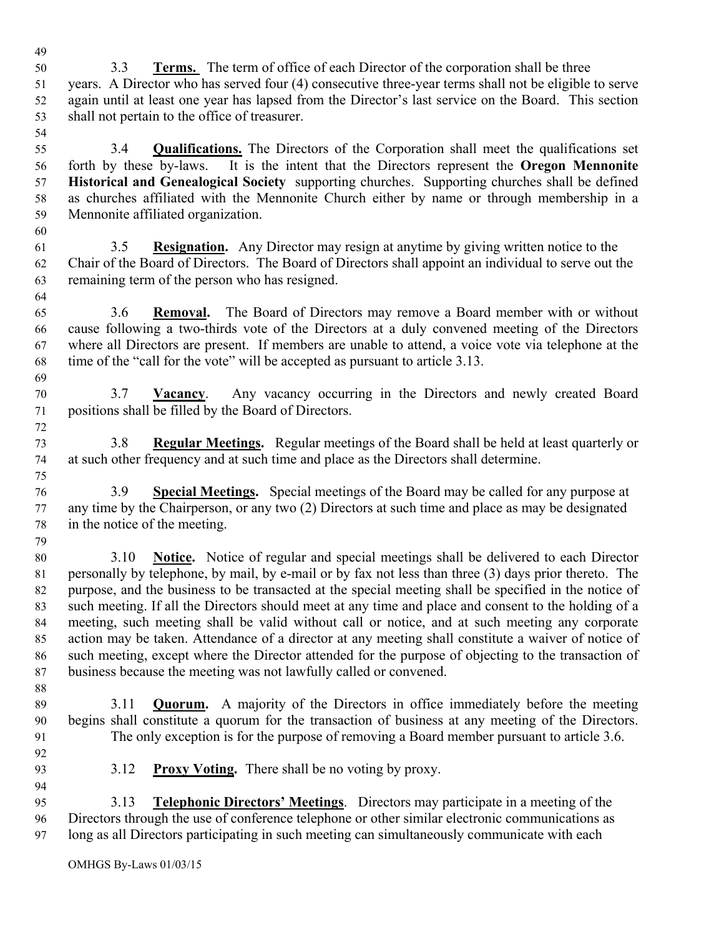52 again until at least one year has lapsed from the Director's last service on the Board. This section 53 shall not pertain to the office of treasurer. 54 55 3.4 **Qualifications.** The Directors of the Corporation shall meet the qualifications set 56 forth by these by-laws. It is the intent that the Directors represent the **Oregon Mennonite**  57 **Historical and Genealogical Society** supporting churches. Supporting churches shall be defined 58 as churches affiliated with the Mennonite Church either by name or through membership in a 59 Mennonite affiliated organization. 60 61 3.5 **Resignation.** Any Director may resign at anytime by giving written notice to the 62 Chair of the Board of Directors. The Board of Directors shall appoint an individual to serve out the 63 remaining term of the person who has resigned. 64 65 3.6 **Removal.** The Board of Directors may remove a Board member with or without 66 cause following a two-thirds vote of the Directors at a duly convened meeting of the Directors 67 where all Directors are present. If members are unable to attend, a voice vote via telephone at the 68 time of the "call for the vote" will be accepted as pursuant to article 3.13. 69 70 3.7 **Vacancy**. Any vacancy occurring in the Directors and newly created Board 71 positions shall be filled by the Board of Directors. 72 73 3.8 **Regular Meetings.** Regular meetings of the Board shall be held at least quarterly or 74 at such other frequency and at such time and place as the Directors shall determine. 75 76 3.9 **Special Meetings.** Special meetings of the Board may be called for any purpose at 77 any time by the Chairperson, or any two (2) Directors at such time and place as may be designated 78 in the notice of the meeting. 79 80 3.10 **Notice.** Notice of regular and special meetings shall be delivered to each Director 81 personally by telephone, by mail, by e-mail or by fax not less than three (3) days prior thereto. The 82 purpose, and the business to be transacted at the special meeting shall be specified in the notice of 83 such meeting. If all the Directors should meet at any time and place and consent to the holding of a 84 meeting, such meeting shall be valid without call or notice, and at such meeting any corporate 85 action may be taken. Attendance of a director at any meeting shall constitute a waiver of notice of 86 such meeting, except where the Director attended for the purpose of objecting to the transaction of 87 business because the meeting was not lawfully called or convened. 88 89 3.11 **Quorum.** A majority of the Directors in office immediately before the meeting 90 begins shall constitute a quorum for the transaction of business at any meeting of the Directors. 91 The only exception is for the purpose of removing a Board member pursuant to article 3.6. 92 93 3.12 **Proxy Voting.** There shall be no voting by proxy. 94 95 3.13 **Telephonic Directors' Meetings**. Directors may participate in a meeting of the 96 Directors through the use of conference telephone or other similar electronic communications as 97 long as all Directors participating in such meeting can simultaneously communicate with each

51 years. A Director who has served four (4) consecutive three-year terms shall not be eligible to serve

49 50 3.3 **Terms.** The term of office of each Director of the corporation shall be three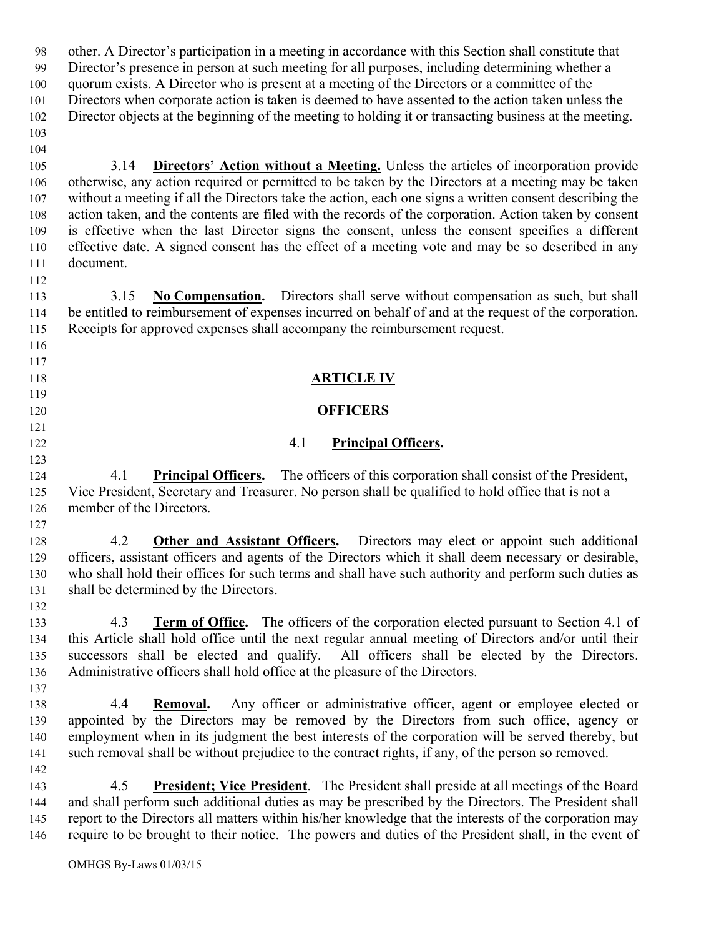98 other. A Director's participation in a meeting in accordance with this Section shall constitute that 99 Director's presence in person at such meeting for all purposes, including determining whether a 100 quorum exists. A Director who is present at a meeting of the Directors or a committee of the 101 Directors when corporate action is taken is deemed to have assented to the action taken unless the 102 Director objects at the beginning of the meeting to holding it or transacting business at the meeting. 103 104 105 3.14 **Directors' Action without a Meeting.** Unless the articles of incorporation provide 106 otherwise, any action required or permitted to be taken by the Directors at a meeting may be taken 107 without a meeting if all the Directors take the action, each one signs a written consent describing the 108 action taken, and the contents are filed with the records of the corporation. Action taken by consent 109 is effective when the last Director signs the consent, unless the consent specifies a different 110 effective date. A signed consent has the effect of a meeting vote and may be so described in any 111 document. 112 113 3.15 **No Compensation.** Directors shall serve without compensation as such, but shall 114 be entitled to reimbursement of expenses incurred on behalf of and at the request of the corporation. 115 Receipts for approved expenses shall accompany the reimbursement request. 116 117 118 **ARTICLE IV** 119 120 **OFFICERS** 121 122 4.1 **Principal Officers.** 123 124 4.1 **Principal Officers.** The officers of this corporation shall consist of the President, 125 Vice President, Secretary and Treasurer. No person shall be qualified to hold office that is not a 126 member of the Directors. 127 128 4.2 **Other and Assistant Officers.** Directors may elect or appoint such additional 129 officers, assistant officers and agents of the Directors which it shall deem necessary or desirable, 130 who shall hold their offices for such terms and shall have such authority and perform such duties as 131 shall be determined by the Directors. 132 133 4.3 **Term of Office.** The officers of the corporation elected pursuant to Section 4.1 of 134 this Article shall hold office until the next regular annual meeting of Directors and/or until their 135 successors shall be elected and qualify. All officers shall be elected by the Directors. 136 Administrative officers shall hold office at the pleasure of the Directors. 137 138 4.4 **Removal.** Any officer or administrative officer, agent or employee elected or 139 appointed by the Directors may be removed by the Directors from such office, agency or 140 employment when in its judgment the best interests of the corporation will be served thereby, but 141 such removal shall be without prejudice to the contract rights, if any, of the person so removed. 142 143 4.5 **President; Vice President**. The President shall preside at all meetings of the Board 144 and shall perform such additional duties as may be prescribed by the Directors. The President shall 145 report to the Directors all matters within his/her knowledge that the interests of the corporation may 146 require to be brought to their notice. The powers and duties of the President shall, in the event of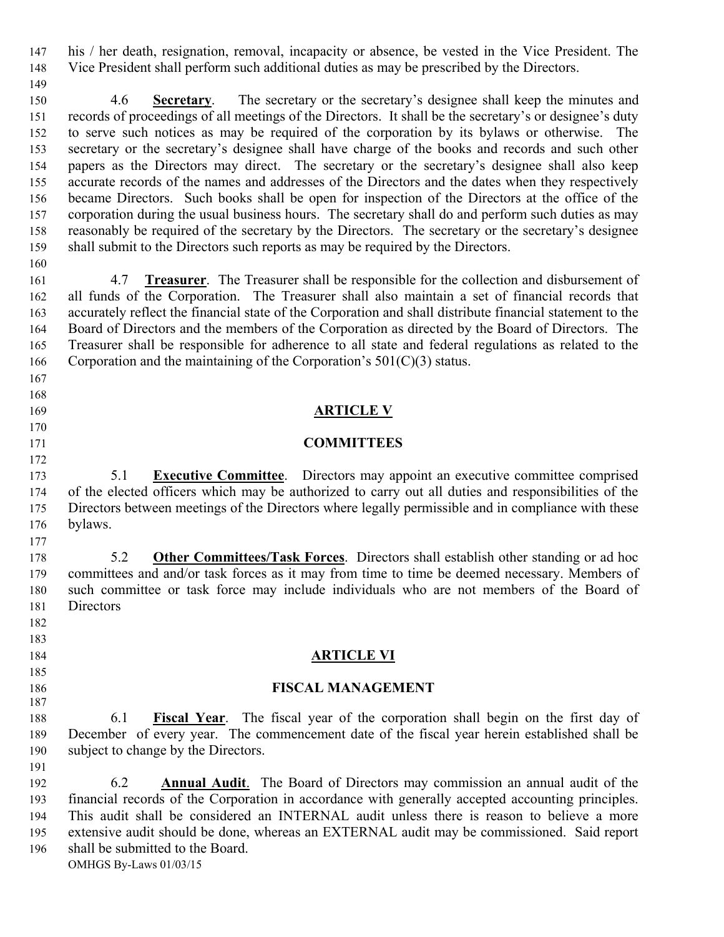147 his / her death, resignation, removal, incapacity or absence, be vested in the Vice President. The 148 Vice President shall perform such additional duties as may be prescribed by the Directors.

150 4.6 **Secretary**. The secretary or the secretary's designee shall keep the minutes and 151 records of proceedings of all meetings of the Directors. It shall be the secretary's or designee's duty 152 to serve such notices as may be required of the corporation by its bylaws or otherwise. The 153 secretary or the secretary's designee shall have charge of the books and records and such other 154 papers as the Directors may direct. The secretary or the secretary's designee shall also keep 155 accurate records of the names and addresses of the Directors and the dates when they respectively 156 became Directors. Such books shall be open for inspection of the Directors at the office of the 157 corporation during the usual business hours. The secretary shall do and perform such duties as may 158 reasonably be required of the secretary by the Directors. The secretary or the secretary's designee 159 shall submit to the Directors such reports as may be required by the Directors.

160

149

161 4.7 **Treasurer**. The Treasurer shall be responsible for the collection and disbursement of 162 all funds of the Corporation. The Treasurer shall also maintain a set of financial records that 163 accurately reflect the financial state of the Corporation and shall distribute financial statement to the 164 Board of Directors and the members of the Corporation as directed by the Board of Directors. The 165 Treasurer shall be responsible for adherence to all state and federal regulations as related to the 166 Corporation and the maintaining of the Corporation's  $501(C)(3)$  status.

- 167
- 168
- 
- 170
- 172

177

182 183

185

187

191

### 169 **ARTICLE V**

#### 171 **COMMITTEES**

173 5.1 **Executive Committee**. Directors may appoint an executive committee comprised 174 of the elected officers which may be authorized to carry out all duties and responsibilities of the 175 Directors between meetings of the Directors where legally permissible and in compliance with these 176 bylaws.

178 5.2 **Other Committees/Task Forces**. Directors shall establish other standing or ad hoc 179 committees and and/or task forces as it may from time to time be deemed necessary. Members of 180 such committee or task force may include individuals who are not members of the Board of 181 Directors

#### 184 **ARTICLE VI**

#### 186 **FISCAL MANAGEMENT**

188 6.1 **Fiscal Year**. The fiscal year of the corporation shall begin on the first day of 189 December of every year. The commencement date of the fiscal year herein established shall be 190 subject to change by the Directors.

OMHGS By-Laws 01/03/15 192 6.2 **Annual Audit**. The Board of Directors may commission an annual audit of the 193 financial records of the Corporation in accordance with generally accepted accounting principles. 194 This audit shall be considered an INTERNAL audit unless there is reason to believe a more 195 extensive audit should be done, whereas an EXTERNAL audit may be commissioned. Said report 196 shall be submitted to the Board.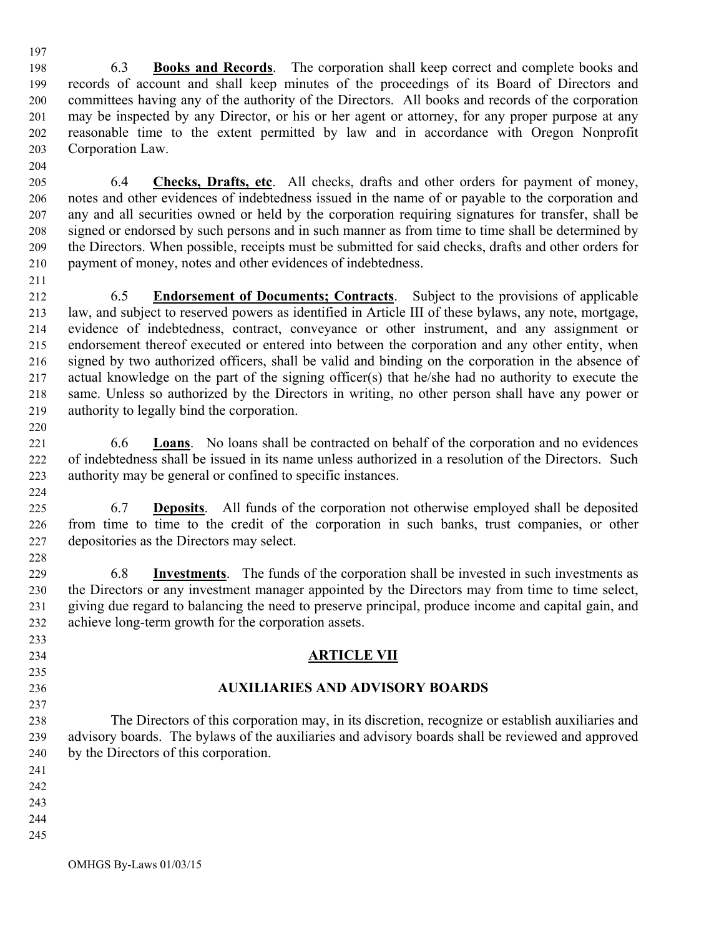197

198 6.3 **Books and Records**. The corporation shall keep correct and complete books and 199 records of account and shall keep minutes of the proceedings of its Board of Directors and 200 committees having any of the authority of the Directors. All books and records of the corporation 201 may be inspected by any Director, or his or her agent or attorney, for any proper purpose at any 202 reasonable time to the extent permitted by law and in accordance with Oregon Nonprofit 203 Corporation Law.

204

205 6.4 **Checks, Drafts, etc**. All checks, drafts and other orders for payment of money, 206 notes and other evidences of indebtedness issued in the name of or payable to the corporation and 207 any and all securities owned or held by the corporation requiring signatures for transfer, shall be 208 signed or endorsed by such persons and in such manner as from time to time shall be determined by 209 the Directors. When possible, receipts must be submitted for said checks, drafts and other orders for 210 payment of money, notes and other evidences of indebtedness.

211

212 6.5 **Endorsement of Documents; Contracts**. Subject to the provisions of applicable 213 law, and subject to reserved powers as identified in Article III of these bylaws, any note, mortgage, 214 evidence of indebtedness, contract, conveyance or other instrument, and any assignment or 215 endorsement thereof executed or entered into between the corporation and any other entity, when 216 signed by two authorized officers, shall be valid and binding on the corporation in the absence of 217 actual knowledge on the part of the signing officer(s) that he/she had no authority to execute the 218 same. Unless so authorized by the Directors in writing, no other person shall have any power or 219 authority to legally bind the corporation. 220

221 6.6 **Loans**. No loans shall be contracted on behalf of the corporation and no evidences 222 of indebtedness shall be issued in its name unless authorized in a resolution of the Directors. Such 223 authority may be general or confined to specific instances.

224

225 6.7 **Deposits**. All funds of the corporation not otherwise employed shall be deposited 226 from time to time to the credit of the corporation in such banks, trust companies, or other 227 depositories as the Directors may select.

229 6.8 **Investments**. The funds of the corporation shall be invested in such investments as 230 the Directors or any investment manager appointed by the Directors may from time to time select, 231 giving due regard to balancing the need to preserve principal, produce income and capital gain, and 232 achieve long-term growth for the corporation assets.

## 234 **ARTICLE VII**

# 236 **AUXILIARIES AND ADVISORY BOARDS**

238 The Directors of this corporation may, in its discretion, recognize or establish auxiliaries and 239 advisory boards. The bylaws of the auxiliaries and advisory boards shall be reviewed and approved 240 by the Directors of this corporation.

241

228

233

235

237

- 242
- 243
- 244
- 245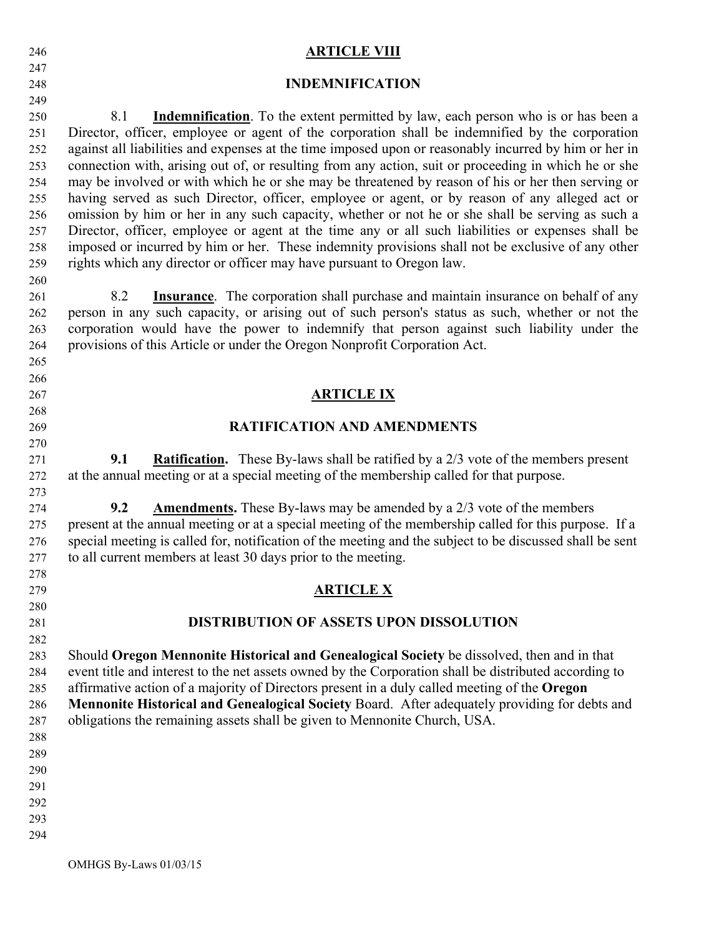| 246 | <b>ARTICLE VIII</b>                                                                                      |
|-----|----------------------------------------------------------------------------------------------------------|
| 247 |                                                                                                          |
| 248 | <b>INDEMNIFICATION</b>                                                                                   |
| 249 |                                                                                                          |
| 250 | <b>Indemnification</b> . To the extent permitted by law, each person who is or has been a<br>8.1         |
| 251 | Director, officer, employee or agent of the corporation shall be indemnified by the corporation          |
| 252 | against all liabilities and expenses at the time imposed upon or reasonably incurred by him or her in    |
| 253 | connection with, arising out of, or resulting from any action, suit or proceeding in which he or she     |
| 254 | may be involved or with which he or she may be threatened by reason of his or her then serving or        |
| 255 | having served as such Director, officer, employee or agent, or by reason of any alleged act or           |
| 256 | omission by him or her in any such capacity, whether or not he or she shall be serving as such a         |
| 257 | Director, officer, employee or agent at the time any or all such liabilities or expenses shall be        |
| 258 | imposed or incurred by him or her. These indemnity provisions shall not be exclusive of any other        |
| 259 | rights which any director or officer may have pursuant to Oregon law.                                    |
| 260 |                                                                                                          |
| 261 | 8.2<br><b>Insurance</b> . The corporation shall purchase and maintain insurance on behalf of any         |
| 262 | person in any such capacity, or arising out of such person's status as such, whether or not the          |
| 263 | corporation would have the power to indemnify that person against such liability under the               |
| 264 | provisions of this Article or under the Oregon Nonprofit Corporation Act.                                |
| 265 |                                                                                                          |
| 266 |                                                                                                          |
| 267 | <b>ARTICLE IX</b>                                                                                        |
| 268 |                                                                                                          |
| 269 | <b>RATIFICATION AND AMENDMENTS</b>                                                                       |
| 270 |                                                                                                          |
| 271 | <b>Ratification.</b> These By-laws shall be ratified by a 2/3 vote of the members present<br>9.1         |
| 272 | at the annual meeting or at a special meeting of the membership called for that purpose.                 |
|     |                                                                                                          |
| 273 | 9.2<br><b>Amendments.</b> These By-laws may be amended by a 2/3 vote of the members                      |
| 274 |                                                                                                          |
| 275 | present at the annual meeting or at a special meeting of the membership called for this purpose. If a    |
| 276 | special meeting is called for, notification of the meeting and the subject to be discussed shall be sent |
| 277 | to all current members at least 30 days prior to the meeting.                                            |
| 278 |                                                                                                          |
| 279 | <b>ARTICLE X</b>                                                                                         |
| 280 |                                                                                                          |
| 281 | <b>DISTRIBUTION OF ASSETS UPON DISSOLUTION</b>                                                           |
| 282 |                                                                                                          |
| 283 | Should Oregon Mennonite Historical and Genealogical Society be dissolved, then and in that               |
| 284 | event title and interest to the net assets owned by the Corporation shall be distributed according to    |
| 285 | affirmative action of a majority of Directors present in a duly called meeting of the Oregon             |
| 286 | Mennonite Historical and Genealogical Society Board. After adequately providing for debts and            |
| 287 | obligations the remaining assets shall be given to Mennonite Church, USA.                                |
| 288 |                                                                                                          |
| 289 |                                                                                                          |
| 290 |                                                                                                          |
| 291 |                                                                                                          |
| 292 |                                                                                                          |
| 293 |                                                                                                          |
| 294 |                                                                                                          |
|     |                                                                                                          |

OMHGS By-Laws 01/03/15